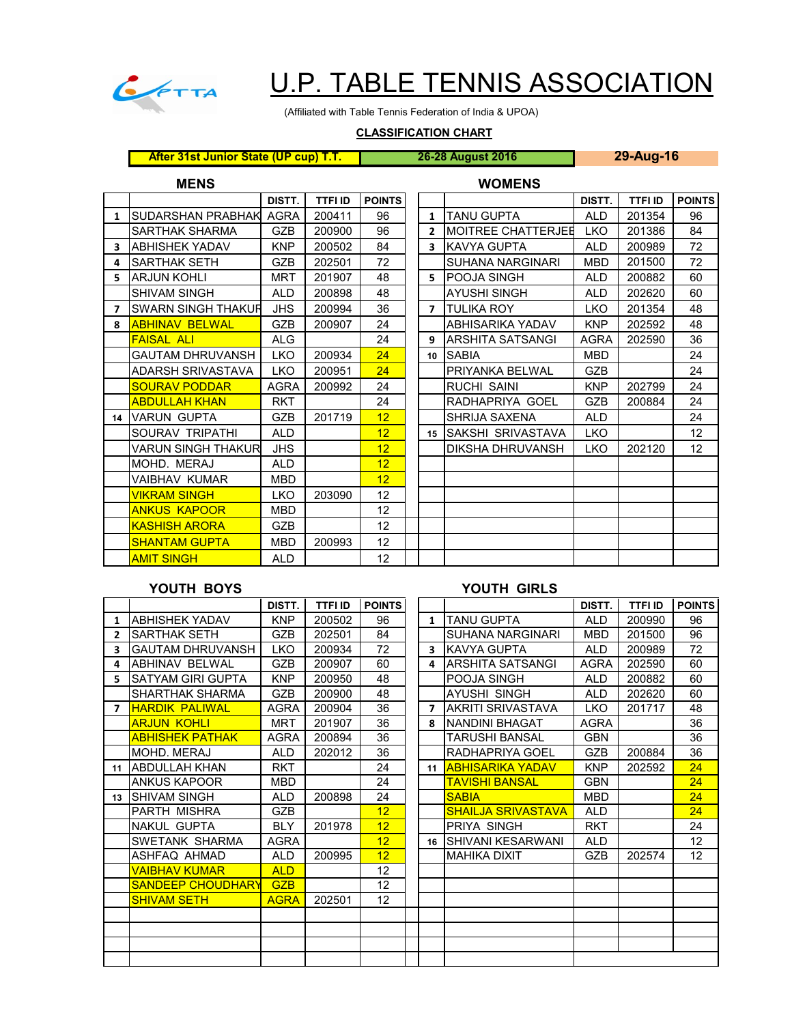

# U.P. TABLE TENNIS ASSOCIATION

(Affiliated with Table Tennis Federation of India & UPOA)

## **CLASSIFICATION CHART**

**After 31st Junior State (UP cup) T.T. 26-28 August 2016 29-Aug-16**

### **MENS WOMENS**

|    |                          | DISTT.      | <b>TTFI ID</b> | <b>POINTS</b> |                         |                           | DISTT.      | <b>TTFI ID</b> | <b>POINTS</b> |
|----|--------------------------|-------------|----------------|---------------|-------------------------|---------------------------|-------------|----------------|---------------|
| 1  | <b>SUDARSHAN PRABHAK</b> | <b>AGRA</b> | 200411         | 96            | $\mathbf{1}$            | <b>TANU GUPTA</b>         | <b>ALD</b>  | 201354         | 96            |
|    | <b>SARTHAK SHARMA</b>    | GZB         | 200900         | 96            | $\overline{2}$          | <b>MOITREE CHATTERJEE</b> | <b>LKO</b>  | 201386         | 84            |
| 3  | <b>ABHISHEK YADAV</b>    | <b>KNP</b>  | 200502         | 84            | $\overline{\mathbf{3}}$ | <b>IKAVYA GUPTA</b>       | <b>ALD</b>  | 200989         | 72            |
| 4  | <b>SARTHAK SETH</b>      | <b>GZB</b>  | 202501         | 72            |                         | <b>SUHANA NARGINARI</b>   | <b>MBD</b>  | 201500         | 72            |
| 5  | <b>ARJUN KOHLI</b>       | <b>MRT</b>  | 201907         | 48            | 5.                      | <b>IPOOJA SINGH</b>       | <b>ALD</b>  | 200882         | 60            |
|    | <b>SHIVAM SINGH</b>      | <b>ALD</b>  | 200898         | 48            |                         | AYUSHI SINGH              | <b>ALD</b>  | 202620         | 60            |
| 7  | SWARN SINGH THAKUR       | <b>JHS</b>  | 200994         | 36            |                         | <b>7 ITULIKA ROY</b>      | <b>LKO</b>  | 201354         | 48            |
| 8  | <b>ABHINAV BELWAL</b>    | <b>GZB</b>  | 200907         | 24            |                         | ABHISARIKA YADAV          | <b>KNP</b>  | 202592         | 48            |
|    | <b>FAISAL ALI</b>        | <b>ALG</b>  |                | 24            | 9                       | ARSHITA SATSANGI          | <b>AGRA</b> | 202590         | 36            |
|    | <b>GAUTAM DHRUVANSH</b>  | LKO         | 200934         | 24            | 10                      | <b>SABIA</b>              | <b>MBD</b>  |                | 24            |
|    | <b>ADARSH SRIVASTAVA</b> | LKO         | 200951         | 24            |                         | PRIYANKA BELWAL           | <b>GZB</b>  |                | 24            |
|    | <b>SOURAV PODDAR</b>     | <b>AGRA</b> | 200992         | 24            |                         | <b>RUCHI SAINI</b>        | <b>KNP</b>  | 202799         | 24            |
|    | <b>ABDULLAH KHAN</b>     | <b>RKT</b>  |                | 24            |                         | RADHAPRIYA GOEL           | <b>GZB</b>  | 200884         | 24            |
| 14 | <b>VARUN GUPTA</b>       | <b>GZB</b>  | 201719         | 12            |                         | SHRIJA SAXENA             | <b>ALD</b>  |                | 24            |
|    | SOURAV TRIPATHI          | <b>ALD</b>  |                | 12            |                         | 15 SAKSHI SRIVASTAVA      | <b>LKO</b>  |                | 12            |
|    | VARUN SINGH THAKUR       | <b>JHS</b>  |                | 12            |                         | DIKSHA DHRUVANSH          | LKO         | 202120         | 12            |
|    | MOHD. MERAJ              | <b>ALD</b>  |                | 12            |                         |                           |             |                |               |
|    | VAIBHAV KUMAR            | <b>MBD</b>  |                | 12            |                         |                           |             |                |               |
|    | <b>VIKRAM SINGH</b>      | <b>LKO</b>  | 203090         | 12            |                         |                           |             |                |               |
|    | <b>ANKUS KAPOOR</b>      | <b>MBD</b>  |                | 12            |                         |                           |             |                |               |
|    | <b>KASHISH ARORA</b>     | <b>GZB</b>  |                | 12            |                         |                           |             |                |               |
|    | <b>SHANTAM GUPTA</b>     | <b>MBD</b>  | 200993         | 12            |                         |                           |             |                |               |
|    | <b>AMIT SINGH</b>        | <b>ALD</b>  |                | 12            |                         |                           |             |                |               |

# **YOUTH BOYS YOUTH GIRLS**

|                |                          | DISTT.      | <b>TTFI ID</b> | <b>POINTS</b> |                         |                           | DISTT.      | <b>TTFI ID</b> | <b>POINTS</b> |
|----------------|--------------------------|-------------|----------------|---------------|-------------------------|---------------------------|-------------|----------------|---------------|
| 1              | <b>ABHISHEK YADAV</b>    | <b>KNP</b>  | 200502         | 96            | $\mathbf{1}$            | <b>TANU GUPTA</b>         | <b>ALD</b>  | 200990         | 96            |
| $\overline{2}$ | <b>SARTHAK SETH</b>      | <b>GZB</b>  | 202501         | 84            |                         | <b>SUHANA NARGINARI</b>   | <b>MBD</b>  | 201500         | 96            |
| 3              | <b>GAUTAM DHRUVANSH</b>  | LKO         | 200934         | 72            | $\overline{\mathbf{3}}$ | KAVYA GUPTA               | <b>ALD</b>  | 200989         | 72            |
| 4              | <b>ABHINAV BELWAL</b>    | <b>GZB</b>  | 200907         | 60            | 4                       | <b>ARSHITA SATSANGI</b>   | <b>AGRA</b> | 202590         | 60            |
| 5              | <b>SATYAM GIRI GUPTA</b> | <b>KNP</b>  | 200950         | 48            |                         | POOJA SINGH               | <b>ALD</b>  | 200882         | 60            |
|                | <b>SHARTHAK SHARMA</b>   | <b>GZB</b>  | 200900         | 48            |                         | <b>AYUSHI SINGH</b>       | <b>ALD</b>  | 202620         | 60            |
| $\overline{7}$ | <b>HARDIK PALIWAL</b>    | <b>AGRA</b> | 200904         | 36            | $\overline{ }$          | <b>AKRITI SRIVASTAVA</b>  | <b>LKO</b>  | 201717         | 48            |
|                | <b>ARJUN KOHLI</b>       | <b>MRT</b>  | 201907         | 36            | 8                       | <b>NANDINI BHAGAT</b>     | <b>AGRA</b> |                | 36            |
|                | <b>ABHISHEK PATHAK</b>   | <b>AGRA</b> | 200894         | 36            |                         | <b>TARUSHI BANSAL</b>     | <b>GBN</b>  |                | 36            |
|                | MOHD, MERAJ              | <b>ALD</b>  | 202012         | 36            |                         | RADHAPRIYA GOEL           | <b>GZB</b>  | 200884         | 36            |
| 11             | <b>ABDULLAH KHAN</b>     | <b>RKT</b>  |                | 24            | 11                      | <b>ABHISARIKA YADAV</b>   | <b>KNP</b>  | 202592         | 24            |
|                | <b>ANKUS KAPOOR</b>      | <b>MBD</b>  |                | 24            |                         | <b>TAVISHI BANSAL</b>     | <b>GBN</b>  |                | 24            |
|                | 13 ISHIVAM SINGH         | <b>ALD</b>  | 200898         | 24            |                         | <b>SABIA</b>              | <b>MBD</b>  |                | 24            |
|                | <b>PARTH MISHRA</b>      | <b>GZB</b>  |                | 12            |                         | <b>SHAILJA SRIVASTAVA</b> | <b>ALD</b>  |                | 24            |
|                | <b>NAKUL GUPTA</b>       | <b>BLY</b>  | 201978         | 12            |                         | PRIYA SINGH               | <b>RKT</b>  |                | 24            |
|                | SWETANK SHARMA           | <b>AGRA</b> |                | 12            | 16                      | <b>SHIVANI KESARWANI</b>  | <b>ALD</b>  |                | 12            |
|                | ASHFAQ AHMAD             | <b>ALD</b>  | 200995         | 12            |                         | <b>MAHIKA DIXIT</b>       | GZB         | 202574         | 12            |
|                | <b>VAIBHAV KUMAR</b>     | <b>ALD</b>  |                | 12            |                         |                           |             |                |               |
|                | <b>SANDEEP CHOUDHARY</b> | <b>GZB</b>  |                | 12            |                         |                           |             |                |               |
|                | <b>SHIVAM SETH</b>       | <b>AGRA</b> | 202501         | 12            |                         |                           |             |                |               |
|                |                          |             |                |               |                         |                           |             |                |               |
|                |                          |             |                |               |                         |                           |             |                |               |
|                |                          |             |                |               |                         |                           |             |                |               |
|                |                          |             |                |               |                         |                           |             |                |               |
|                |                          |             |                |               |                         |                           |             |                |               |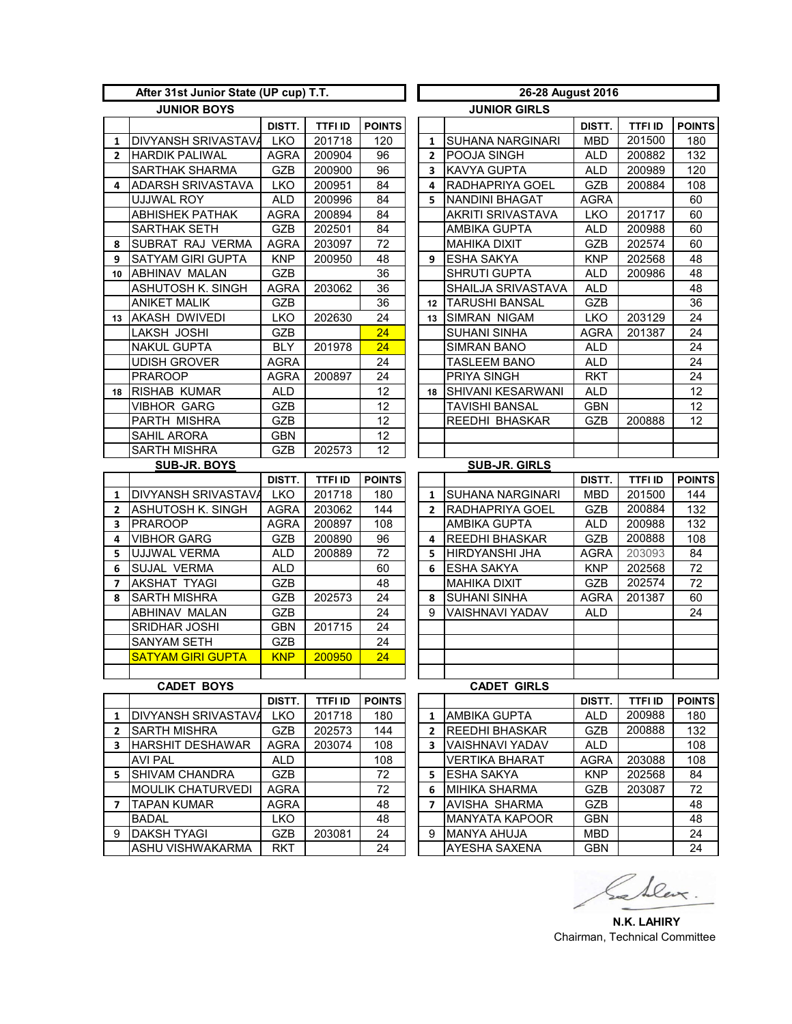| After 31st Junior State (UP cup) T.T. |                            |             |                |                 |  | 26-28 August 2016   |                          |             |                |               |  |  |
|---------------------------------------|----------------------------|-------------|----------------|-----------------|--|---------------------|--------------------------|-------------|----------------|---------------|--|--|
| <b>JUNIOR BOYS</b>                    |                            |             |                |                 |  | <b>JUNIOR GIRLS</b> |                          |             |                |               |  |  |
|                                       |                            | DISTT.      | <b>TTFI ID</b> | <b>POINTS</b>   |  |                     |                          | DISTT.      | <b>TTFI ID</b> | <b>POINTS</b> |  |  |
| $\mathbf{1}$                          | <b>DIVYANSH SRIVASTAVA</b> | <b>LKO</b>  | 201718         | 120             |  | 1                   | <b>SUHANA NARGINARI</b>  | <b>MBD</b>  | 201500         | 180           |  |  |
| $\overline{2}$                        | <b>HARDIK PALIWAL</b>      | <b>AGRA</b> | 200904         | 96              |  | $\overline{2}$      | POOJA SINGH              | <b>ALD</b>  | 200882         | 132           |  |  |
|                                       | SARTHAK SHARMA             | GZB         | 200900         | 96              |  | 3                   | <b>KAVYA GUPTA</b>       | <b>ALD</b>  | 200989         | 120           |  |  |
| 4                                     | <b>ADARSH SRIVASTAVA</b>   | LKO         | 200951         | 84              |  | 4                   | RADHAPRIYA GOEL          | GZB         | 200884         | 108           |  |  |
|                                       | UJJWAL ROY                 | <b>ALD</b>  | 200996         | 84              |  | 5                   | <b>NANDINI BHAGAT</b>    | <b>AGRA</b> |                | 60            |  |  |
|                                       | <b>ABHISHEK PATHAK</b>     | <b>AGRA</b> | 200894         | 84              |  |                     | AKRITI SRIVASTAVA        | <b>LKO</b>  | 201717         | 60            |  |  |
|                                       | SARTHAK SETH               | GZB         | 202501         | 84              |  |                     | AMBIKA GUPTA             | <b>ALD</b>  | 200988         | 60            |  |  |
| 8                                     | <b>SUBRAT RAJ VERMA</b>    | <b>AGRA</b> | 203097         | 72              |  |                     | <b>MAHIKA DIXIT</b>      | GZB         | 202574         | 60            |  |  |
| 9                                     | <b>SATYAM GIRI GUPTA</b>   | <b>KNP</b>  | 200950         | 48              |  | 9                   | <b>ESHA SAKYA</b>        | <b>KNP</b>  | 202568         | 48            |  |  |
|                                       | 10 ABHINAV MALAN           | GZB         |                | 36              |  |                     | <b>SHRUTI GUPTA</b>      | <b>ALD</b>  | 200986         | 48            |  |  |
|                                       | ASHUTOSH K. SINGH          | <b>AGRA</b> | 203062         | 36              |  |                     | SHAILJA SRIVASTAVA       | <b>ALD</b>  |                | 48            |  |  |
|                                       | <b>ANIKET MALIK</b>        | <b>GZB</b>  |                | 36              |  | 12 <sup>12</sup>    | <b>TARUSHI BANSAL</b>    | GZB         |                | 36            |  |  |
| 13                                    | <b>AKASH DWIVEDI</b>       | <b>LKO</b>  | 202630         | 24              |  | 13                  | <b>SIMRAN NIGAM</b>      | <b>LKO</b>  | 203129         | 24            |  |  |
|                                       | LAKSH JOSHI                | GZB         |                | 24              |  |                     | <b>SUHANI SINHA</b>      | <b>AGRA</b> | 201387         | 24            |  |  |
|                                       | <b>NAKUL GUPTA</b>         | BLY         | 201978         | 24              |  |                     | <b>SIMRAN BANO</b>       | <b>ALD</b>  |                | 24            |  |  |
|                                       | <b>UDISH GROVER</b>        | <b>AGRA</b> |                | 24              |  |                     | TASLEEM BANO             | <b>ALD</b>  |                | 24            |  |  |
|                                       | <b>PRAROOP</b>             | <b>AGRA</b> | 200897         | 24              |  |                     | PRIYA SINGH              | <b>RKT</b>  |                | 24            |  |  |
| 18                                    | <b>RISHAB KUMAR</b>        | <b>ALD</b>  |                | 12              |  | 18                  | <b>SHIVANI KESARWANI</b> | <b>ALD</b>  |                | 12            |  |  |
|                                       | <b>VIBHOR GARG</b>         | GZB         |                | 12              |  |                     | <b>TAVISHI BANSAL</b>    | <b>GBN</b>  |                | 12            |  |  |
|                                       | PARTH MISHRA               | GZB         |                | 12              |  |                     | REEDHI BHASKAR           | <b>GZB</b>  | 200888         | 12            |  |  |
|                                       | SAHIL ARORA                | <b>GBN</b>  |                | 12              |  |                     |                          |             |                |               |  |  |
|                                       | <b>SARTH MISHRA</b>        | <b>GZB</b>  | 202573         | 12              |  |                     |                          |             |                |               |  |  |
|                                       | <b>SUB-JR. BOYS</b>        |             |                |                 |  |                     | <b>SUB-JR. GIRLS</b>     |             |                |               |  |  |
|                                       |                            | DISTT.      | <b>TTFI ID</b> | <b>POINTS</b>   |  |                     |                          | DISTT.      | TTFI ID        | <b>POINTS</b> |  |  |
| $\mathbf{1}$                          | DIVYANSH SRIVASTAVA        | LKO         | 201718         | 180             |  | $\mathbf{1}$        | SUHANA NARGINARI         | <b>MBD</b>  | 201500         | 144           |  |  |
| $\mathbf{2}$                          | <b>ASHUTOSH K. SINGH</b>   | AGRA        | 203062         | 144             |  | $\mathbf{2}$        | RADHAPRIYA GOEL          | GZB         | 200884         | 132           |  |  |
| 3                                     | <b>PRAROOP</b>             | <b>AGRA</b> | 200897         | 108             |  |                     | AMBIKA GUPTA             | <b>ALD</b>  | 200988         | 132           |  |  |
| 4                                     | <b>VIBHOR GARG</b>         | GZB         | 200890         | 96              |  | 4                   | <b>REEDHI BHASKAR</b>    | GZB         | 200888         | 108           |  |  |
| 5                                     | <b>UJJWAL VERMA</b>        | <b>ALD</b>  | 200889         | 72              |  | 5                   | <b>HIRDYANSHI JHA</b>    | <b>AGRA</b> | 203093         | 84            |  |  |
| 6                                     | <b>SUJAL VERMA</b>         | <b>ALD</b>  |                | 60              |  | 6                   | <b>ESHA SAKYA</b>        | <b>KNP</b>  | 202568         | 72            |  |  |
| $\overline{7}$                        | <b>AKSHAT TYAGI</b>        | <b>GZB</b>  |                | 48              |  |                     | <b>MAHIKA DIXIT</b>      | GZB         | 202574         | 72            |  |  |
| 8                                     | <b>SARTH MISHRA</b>        | GZB         | 202573         | 24              |  | 8                   | <b>SUHANI SINHA</b>      | <b>AGRA</b> | 201387         | 60            |  |  |
|                                       | ABHINAV MALAN              | GZB         |                | 24              |  | 9                   | VAISHNAVI YADAV          | <b>ALD</b>  |                | 24            |  |  |
|                                       | SRIDHAR JOSHI              | <b>GBN</b>  | 201715         | 24              |  |                     |                          |             |                |               |  |  |
|                                       | <b>SANYAM SETH</b>         | GZB         |                | 24              |  |                     |                          |             |                |               |  |  |
|                                       | <b>SATYAM GIRI GUPTA</b>   | <b>KNP</b>  | 200950         | $\overline{24}$ |  |                     |                          |             |                |               |  |  |
|                                       |                            |             |                |                 |  |                     |                          |             |                |               |  |  |
|                                       | <b>CADET BOYS</b>          |             |                |                 |  | <b>CADET GIRLS</b>  |                          |             |                |               |  |  |
|                                       |                            | DISTT.      | TTFI ID        | <b>POINTS</b>   |  |                     |                          | DISTT.      | TTFI ID        | <b>POINTS</b> |  |  |
| $\mathbf{1}$                          | DIVYANSH SRIVASTAVA        | <b>LKO</b>  | 201718         | 180             |  | 1                   | <b>AMBIKA GUPTA</b>      | <b>ALD</b>  | 200988         | 180           |  |  |
| $\mathbf{2}$                          | <b>SARTH MISHRA</b>        | <b>GZB</b>  | 202573         | 144             |  | $\overline{2}$      | <b>REEDHI BHASKAR</b>    | GZB         | 200888         | 132           |  |  |
| 3                                     | <b>HARSHIT DESHAWAR</b>    | <b>AGRA</b> | 203074         | 108             |  | 3                   | <b>VAISHNAVI YADAV</b>   | ALD         |                | 108           |  |  |
|                                       | <b>AVI PAL</b>             | <b>ALD</b>  |                | 108             |  |                     | <b>VERTIKA BHARAT</b>    | AGRA        | 203088         | 108           |  |  |
| 5.                                    | <b>SHIVAM CHANDRA</b>      | <b>GZB</b>  |                | 72              |  | 5                   | <b>ESHA SAKYA</b>        | KNP         | 202568         | 84            |  |  |
|                                       | <b>MOULIK CHATURVEDI</b>   | <b>AGRA</b> |                | 72              |  | 6                   | <b>MIHIKA SHARMA</b>     | GZB         | 203087         | 72            |  |  |
| 7                                     | <b>TAPAN KUMAR</b>         | <b>AGRA</b> |                | 48              |  | 7                   | <b>AVISHA SHARMA</b>     | GZB         |                | 48            |  |  |
|                                       | <b>BADAL</b>               | LKO         |                | 48              |  |                     | <b>MANYATA KAPOOR</b>    | <b>GBN</b>  |                | 48            |  |  |
| 9                                     | <b>DAKSH TYAGI</b>         | GZB.        | 203081         | 24              |  | 9                   | <b>MANYA AHUJA</b>       | <b>MBD</b>  |                | 24            |  |  |
|                                       | ASHU VISHWAKARMA           | <b>RKT</b>  |                | 24              |  |                     | AYESHA SAXENA            | <b>GBN</b>  |                | 24            |  |  |

Sabler.

**N.K. LAHIRY** Chairman, Technical Committee